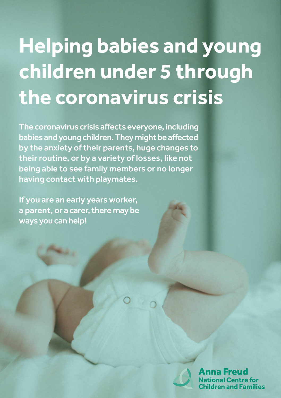# **Helping babies and young children under 5 through the coronavirus crisis**

The coronavirus crisis affects everyone, including babies and young children. They might be affected by the anxiety of their parents, huge changes to their routine, or by a variety of losses, like not being able to see family members or no longer having contact with playmates.

If you are an early years worker, a parent, or a carer, there may be ways you can help!



na Freud ional Centre for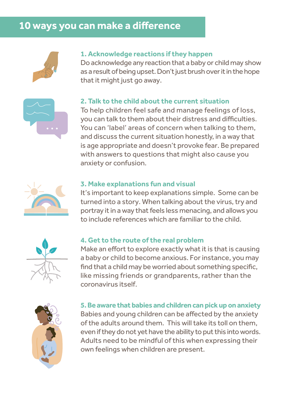# **10 ways you can make a difference**



#### **1. Acknowledge reactions if they happen**

Do acknowledge any reaction that a baby or child may show as a result of being upset. Don't just brush over it in the hope that it might just go away.



#### **2. Talk to the child about the current situation**

To help children feel safe and manage feelings of loss, you can talk to them about their distress and difficulties. You can 'label' areas of concern when talking to them, and discuss the current situation honestly, in a way that is age appropriate and doesn't provoke fear. Be prepared with answers to questions that might also cause you anxiety or confusion.



#### **3. Make explanations fun and visual**

It's important to keep explanations simple. Some can be turned into a story. When talking about the virus, try and portray it in a way that feels less menacing, and allows you to include references which are familiar to the child.



#### **4. Get to the route of the real problem**

Make an effort to explore exactly what it is that is causing a baby or child to become anxious. For instance, you may find that a child may be worried about something specific, like missing friends or grandparents, rather than the coronavirus itself.



**5. Be aware that babies and children can pick up on anxiety** Babies and young children can be affected by the anxiety of the adults around them. This will take its toll on them, even if they do not yet have the ability to put this into words. Adults need to be mindful of this when expressing their own feelings when children are present.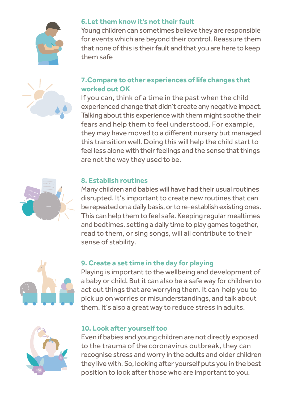



## **6.Let them know it's not their fault**

Young children can sometimes believe they are responsible for events which are beyond their control. Reassure them that none of this is their fault and that you are here to keep them safe

## **7.Compare to other experiences of life changes that worked out OK**

If you can, think of a time in the past when the child experienced change that didn't create any negative impact. Talking about this experience with them might soothe their fears and help them to feel understood. For example, they may have moved to a different nursery but managed this transition well. Doing this will help the child start to feel less alone with their feelings and the sense that things are not the way they used to be.



### **8. Establish routines**

Many children and babies will have had their usual routines disrupted. It's important to create new routines that can be repeated on a daily basis, or to re-establish existing ones. This can help them to feel safe. Keeping regular mealtimes and bedtimes, setting a daily time to play games together, read to them, or sing songs, will all contribute to their sense of stability.



## **9. Create a set time in the day for playing**

Playing is important to the wellbeing and development of a baby or child. But it can also be a safe way for children to act out things that are worrying them. It can help you to pick up on worries or misunderstandings, and talk about them. It's also a great way to reduce stress in adults.



#### **10. Look after yourself too**

Even if babies and young children are not directly exposed to the trauma of the coronavirus outbreak, they can recognise stress and worry in the adults and older children they live with. So, looking after yourself puts you in the best position to look after those who are important to you.